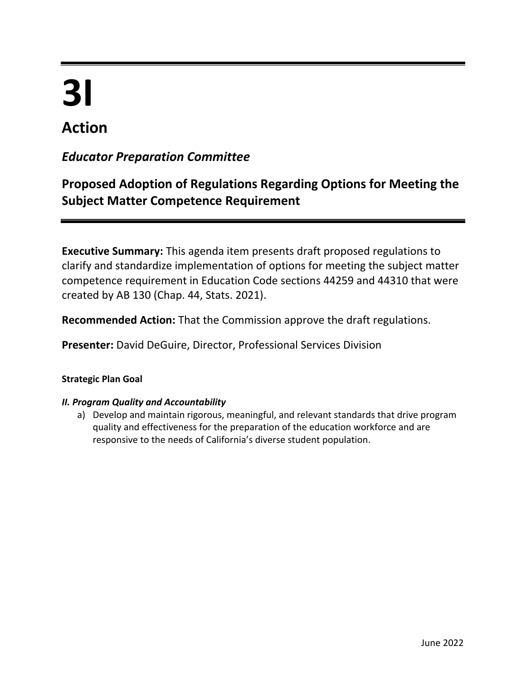# **3I**

# **Action**

# *Educator Preparation Committee*

# **Proposed Adoption of Regulations Regarding Options for Meeting the Subject Matter Competence Requirement**

**Executive Summary:** This agenda item presents draft proposed regulations to clarify and standardize implementation of options for meeting the subject matter competence requirement in Education Code sections 44259 and 44310 that were created by AB 130 (Chap. 44, Stats. 2021).

**Recommended Action:** That the Commission approve the draft regulations.

**Presenter:** David DeGuire, Director, Professional Services Division

# **Strategic Plan Goal**

# *II. Program Quality and Accountability*

a) Develop and maintain rigorous, meaningful, and relevant standards that drive program quality and effectiveness for the preparation of the education workforce and are responsive to the needs of California's diverse student population.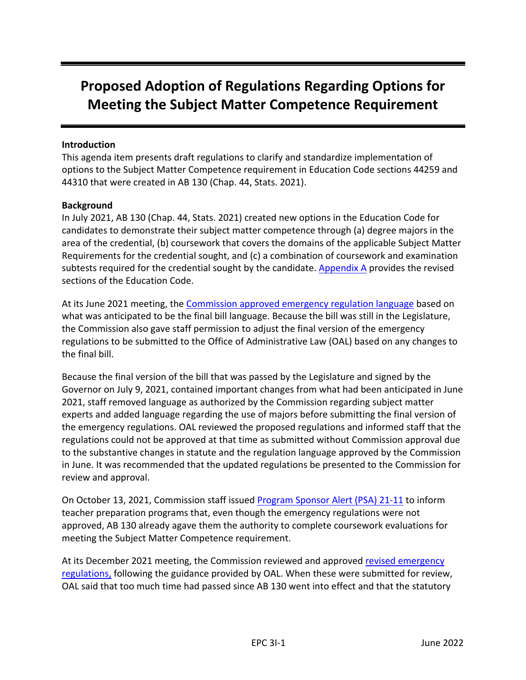# **Proposed Adoption of Regulations Regarding Options for Meeting the Subject Matter Competence Requirement**

#### **Introduction**

This agenda item presents draft regulations to clarify and standardize implementation of options to the Subject Matter Competence requirement in Education Code sections 44259 and 44310 that were created in AB 130 (Chap. 44, Stats. 2021).

#### **Background**

In July 2021, AB 130 (Chap. 44, Stats. 2021) created new options in the Education Code for candidates to demonstrate their subject matter competence through (a) degree majors in the area of the credential, (b) coursework that covers the domains of the applicable Subject Matter Requirements for the credential sought, and (c) a combination of coursework and examination subtests required for the credential sought by the candidate. [Appendix A](#page-6-0) provides the revised sections of the Education Code.

At its June 2021 meeting, the [Commission approved emergency regulation language](https://www.ctc.ca.gov/docs/default-source/commission/agendas/2021-06/2021-06-4i.pdf?sfvrsn=39ca2ab1_6) based on what was anticipated to be the final bill language. Because the bill was still in the Legislature, the Commission also gave staff permission to adjust the final version of the emergency regulations to be submitted to the Office of Administrative Law (OAL) based on any changes to the final bill.

Because the final version of the bill that was passed by the Legislature and signed by the Governor on July 9, 2021, contained important changes from what had been anticipated in June 2021, staff removed language as authorized by the Commission regarding subject matter experts and added language regarding the use of majors before submitting the final version of the emergency regulations. OAL reviewed the proposed regulations and informed staff that the regulations could not be approved at that time as submitted without Commission approval due to the substantive changes in statute and the regulation language approved by the Commission in June. It was recommended that the updated regulations be presented to the Commission for review and approval.

On October 13, 2021, Commission staff issued [Program Sponsor Alert \(PSA\) 21-11](https://www.ctc.ca.gov/docs/default-source/educator-prep/ps-alerts/2021/psa-21-11.pdf?sfvrsn=e46b25b1_2) to inform teacher preparation programs that, even though the emergency regulations were not approved, AB 130 already agave them the authority to complete coursework evaluations for meeting the Subject Matter Competence requirement.

At its December 2021 meeting, the Commission reviewed and approved [revised emergency](https://www.ctc.ca.gov/docs/default-source/commission/agendas/2021-12/2021-12-2f.pdf?sfvrsn=611925b1_2)  [regulations,](https://www.ctc.ca.gov/docs/default-source/commission/agendas/2021-12/2021-12-2f.pdf?sfvrsn=611925b1_2) following the guidance provided by OAL. When these were submitted for review, OAL said that too much time had passed since AB 130 went into effect and that the statutory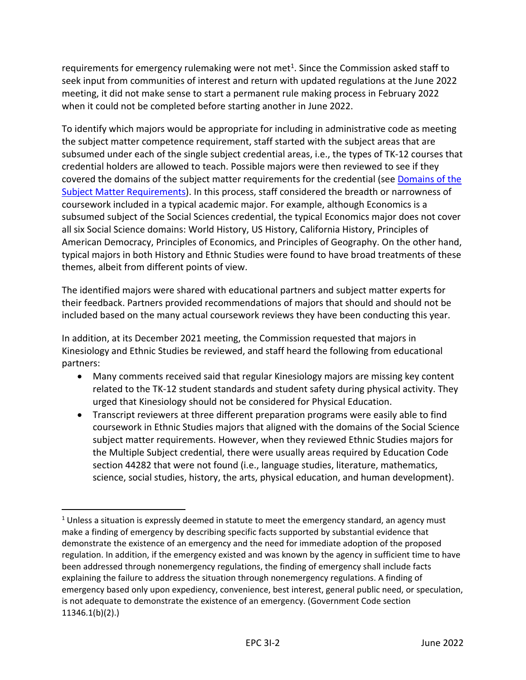requirements for emergency rulemaking were not met<sup>1</sup>. Since the Commission asked staff to seek input from communities of interest and return with updated regulations at the June 2022 meeting, it did not make sense to start a permanent rule making process in February 2022 when it could not be completed before starting another in June 2022.

To identify which majors would be appropriate for including in administrative code as meeting the subject matter competence requirement, staff started with the subject areas that are subsumed under each of the single subject credential areas, i.e., the types of TK-12 courses that credential holders are allowed to teach. Possible majors were then reviewed to see if they covered the domains of the subject matter requirements for the credential (see [Domains of the](https://www.ctc.ca.gov/docs/default-source/educator-prep/files/domains-of-subject-matter-requirements.pdf?sfvrsn=dcd525b1_10)  [Subject Matter Requirements\)](https://www.ctc.ca.gov/docs/default-source/educator-prep/files/domains-of-subject-matter-requirements.pdf?sfvrsn=dcd525b1_10). In this process, staff considered the breadth or narrowness of coursework included in a typical academic major. For example, although Economics is a subsumed subject of the Social Sciences credential, the typical Economics major does not cover all six Social Science domains: World History, US History, California History, Principles of American Democracy, Principles of Economics, and Principles of Geography. On the other hand, typical majors in both History and Ethnic Studies were found to have broad treatments of these themes, albeit from different points of view.

The identified majors were shared with educational partners and subject matter experts for their feedback. Partners provided recommendations of majors that should and should not be included based on the many actual coursework reviews they have been conducting this year.

In addition, at its December 2021 meeting, the Commission requested that majors in Kinesiology and Ethnic Studies be reviewed, and staff heard the following from educational partners:

- Many comments received said that regular Kinesiology majors are missing key content related to the TK-12 student standards and student safety during physical activity. They urged that Kinesiology should not be considered for Physical Education.
- Transcript reviewers at three different preparation programs were easily able to find coursework in Ethnic Studies majors that aligned with the domains of the Social Science subject matter requirements. However, when they reviewed Ethnic Studies majors for the Multiple Subject credential, there were usually areas required by Education Code section 44282 that were not found (i.e., language studies, literature, mathematics, science, social studies, history, the arts, physical education, and human development).

 $<sup>1</sup>$  Unless a situation is expressly deemed in statute to meet the emergency standard, an agency must</sup> make a finding of emergency by describing specific facts supported by substantial evidence that demonstrate the existence of an emergency and the need for immediate adoption of the proposed regulation. In addition, if the emergency existed and was known by the agency in sufficient time to have been addressed through nonemergency regulations, the finding of emergency shall include facts explaining the failure to address the situation through nonemergency regulations. A finding of emergency based only upon expediency, convenience, best interest, general public need, or speculation, is not adequate to demonstrate the existence of an emergency. (Government Code section 11346.1(b)(2).)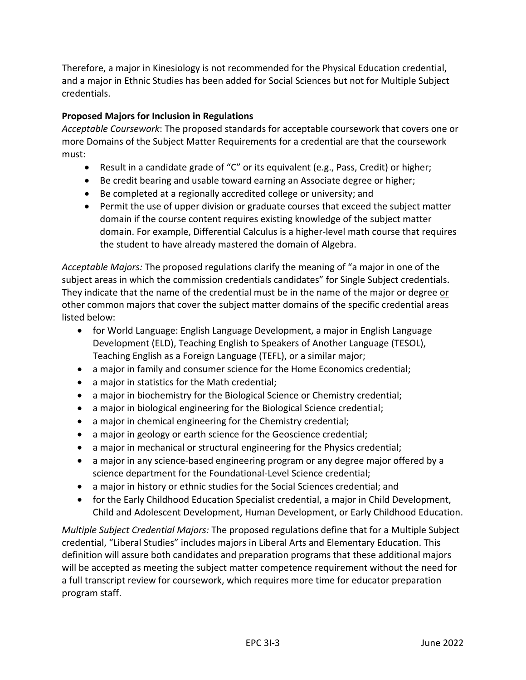Therefore, a major in Kinesiology is not recommended for the Physical Education credential, and a major in Ethnic Studies has been added for Social Sciences but not for Multiple Subject credentials.

# **Proposed Majors for Inclusion in Regulations**

*Acceptable Coursework*: The proposed standards for acceptable coursework that covers one or more Domains of the Subject Matter Requirements for a credential are that the coursework must:

- Result in a candidate grade of "C" or its equivalent (e.g., Pass, Credit) or higher;
- Be credit bearing and usable toward earning an Associate degree or higher;
- Be completed at a regionally accredited college or university; and
- Permit the use of upper division or graduate courses that exceed the subject matter domain if the course content requires existing knowledge of the subject matter domain. For example, Differential Calculus is a higher-level math course that requires the student to have already mastered the domain of Algebra.

*Acceptable Majors:* The proposed regulations clarify the meaning of "a major in one of the subject areas in which the commission credentials candidates" for Single Subject credentials. They indicate that the name of the credential must be in the name of the major or degree or other common majors that cover the subject matter domains of the specific credential areas listed below:

- for World Language: English Language Development, a major in English Language Development (ELD), Teaching English to Speakers of Another Language (TESOL), Teaching English as a Foreign Language (TEFL), or a similar major;
- a major in family and consumer science for the Home Economics credential;
- a major in statistics for the Math credential;
- a major in biochemistry for the Biological Science or Chemistry credential;
- a major in biological engineering for the Biological Science credential;
- a major in chemical engineering for the Chemistry credential;
- a major in geology or earth science for the Geoscience credential;
- a major in mechanical or structural engineering for the Physics credential;
- a major in any science-based engineering program or any degree major offered by a science department for the Foundational-Level Science credential;
- a major in history or ethnic studies for the Social Sciences credential; and
- for the Early Childhood Education Specialist credential, a major in Child Development, Child and Adolescent Development, Human Development, or Early Childhood Education.

*Multiple Subject Credential Majors:* The proposed regulations define that for a Multiple Subject credential, "Liberal Studies" includes majors in Liberal Arts and Elementary Education. This definition will assure both candidates and preparation programs that these additional majors will be accepted as meeting the subject matter competence requirement without the need for a full transcript review for coursework, which requires more time for educator preparation program staff.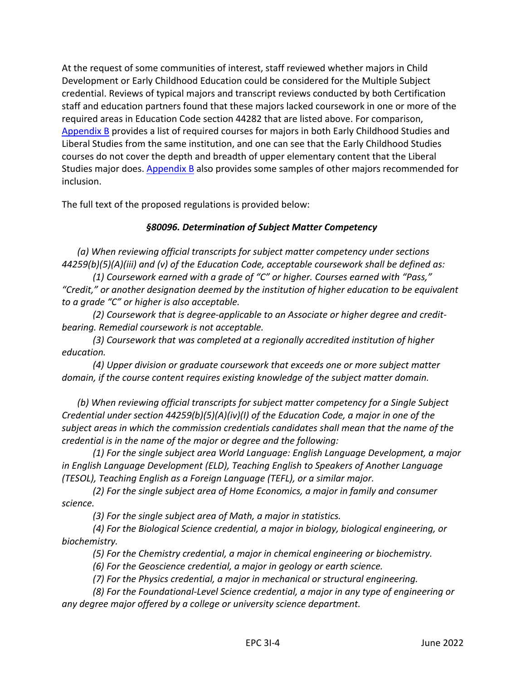At the request of some communities of interest, staff reviewed whether majors in Child Development or Early Childhood Education could be considered for the Multiple Subject credential. Reviews of typical majors and transcript reviews conducted by both Certification staff and education partners found that these majors lacked coursework in one or more of the required areas in Education Code section 44282 that are listed above. For comparison, [Appendix B](#page-8-0) provides a list of required courses for majors in both Early Childhood Studies and Liberal Studies from the same institution, and one can see that the Early Childhood Studies courses do not cover the depth and breadth of upper elementary content that the Liberal Studies major does. [Appendix B](#page-8-0) also provides some samples of other majors recommended for inclusion.

The full text of the proposed regulations is provided below:

# *§80096. Determination of Subject Matter Competency*

*(a) When reviewing official transcripts for subject matter competency under sections 44259(b)(5)(A)(iii) and (v) of the Education Code, acceptable coursework shall be defined as:*

*(1) Coursework earned with a grade of "C" or higher. Courses earned with "Pass," "Credit," or another designation deemed by the institution of higher education to be equivalent to a grade "C" or higher is also acceptable.*

*(2) Coursework that is degree-applicable to an Associate or higher degree and creditbearing. Remedial coursework is not acceptable.*

*(3) Coursework that was completed at a regionally accredited institution of higher education.*

*(4) Upper division or graduate coursework that exceeds one or more subject matter domain, if the course content requires existing knowledge of the subject matter domain.*

*(b) When reviewing official transcripts for subject matter competency for a Single Subject Credential under section 44259(b)(5)(A)(iv)(I) of the Education Code, a major in one of the subject areas in which the commission credentials candidates shall mean that the name of the credential is in the name of the major or degree and the following:*

*(1) For the single subject area World Language: English Language Development, a major in English Language Development (ELD), Teaching English to Speakers of Another Language (TESOL), Teaching English as a Foreign Language (TEFL), or a similar major.*

*(2) For the single subject area of Home Economics, a major in family and consumer science.*

*(3) For the single subject area of Math, a major in statistics.*

*(4) For the Biological Science credential, a major in biology, biological engineering, or biochemistry.*

*(5) For the Chemistry credential, a major in chemical engineering or biochemistry.*

*(6) For the Geoscience credential, a major in geology or earth science.*

*(7) For the Physics credential, a major in mechanical or structural engineering.*

*(8) For the Foundational-Level Science credential, a major in any type of engineering or any degree major offered by a college or university science department.*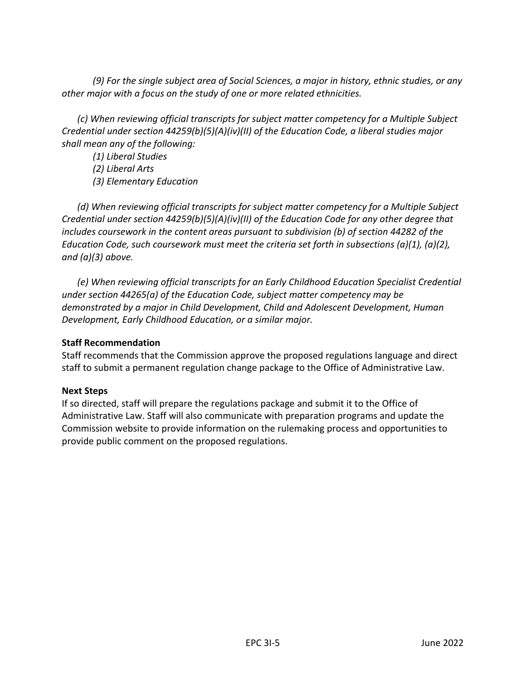*(9) For the single subject area of Social Sciences, a major in history, ethnic studies, or any other major with a focus on the study of one or more related ethnicities.*

*(c) When reviewing official transcripts for subject matter competency for a Multiple Subject Credential under section 44259(b)(5)(A)(iv)(II) of the Education Code, a liberal studies major shall mean any of the following:*

*(1) Liberal Studies*

*(2) Liberal Arts*

*(3) Elementary Education*

*(d) When reviewing official transcripts for subject matter competency for a Multiple Subject Credential under section 44259(b)(5)(A)(iv)(II) of the Education Code for any other degree that includes coursework in the content areas pursuant to subdivision (b) of section 44282 of the Education Code, such coursework must meet the criteria set forth in subsections (a)(1), (a)(2), and (a)(3) above.*

*(e) When reviewing official transcripts for an Early Childhood Education Specialist Credential under section 44265(a) of the Education Code, subject matter competency may be demonstrated by a major in Child Development, Child and Adolescent Development, Human Development, Early Childhood Education, or a similar major.*

## **Staff Recommendation**

Staff recommends that the Commission approve the proposed regulations language and direct staff to submit a permanent regulation change package to the Office of Administrative Law.

## **Next Steps**

If so directed, staff will prepare the regulations package and submit it to the Office of Administrative Law. Staff will also communicate with preparation programs and update the Commission website to provide information on the rulemaking process and opportunities to provide public comment on the proposed regulations.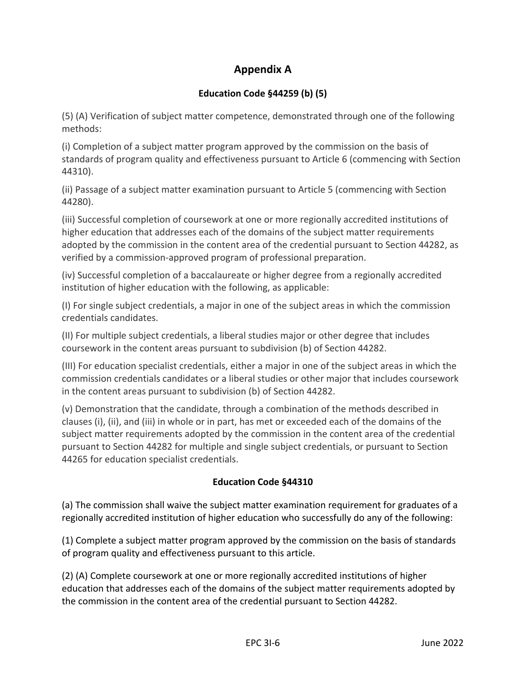# **Appendix A**

# **Education Code §44259 (b) (5)**

<span id="page-6-0"></span>(5) (A) Verification of subject matter competence, demonstrated through one of the following methods:

(i) Completion of a subject matter program approved by the commission on the basis of standards of program quality and effectiveness pursuant to Article 6 (commencing with Section 44310).

(ii) Passage of a subject matter examination pursuant to Article 5 (commencing with Section 44280).

(iii) Successful completion of coursework at one or more regionally accredited institutions of higher education that addresses each of the domains of the subject matter requirements adopted by the commission in the content area of the credential pursuant to Section 44282, as verified by a commission-approved program of professional preparation.

(iv) Successful completion of a baccalaureate or higher degree from a regionally accredited institution of higher education with the following, as applicable:

(I) For single subject credentials, a major in one of the subject areas in which the commission credentials candidates.

(II) For multiple subject credentials, a liberal studies major or other degree that includes coursework in the content areas pursuant to subdivision (b) of Section 44282.

(III) For education specialist credentials, either a major in one of the subject areas in which the commission credentials candidates or a liberal studies or other major that includes coursework in the content areas pursuant to subdivision (b) of Section 44282.

(v) Demonstration that the candidate, through a combination of the methods described in clauses (i), (ii), and (iii) in whole or in part, has met or exceeded each of the domains of the subject matter requirements adopted by the commission in the content area of the credential pursuant to Section 44282 for multiple and single subject credentials, or pursuant to Section 44265 for education specialist credentials.

# **Education Code §44310**

(a) The commission shall waive the subject matter examination requirement for graduates of a regionally accredited institution of higher education who successfully do any of the following:

(1) Complete a subject matter program approved by the commission on the basis of standards of program quality and effectiveness pursuant to this article.

(2) (A) Complete coursework at one or more regionally accredited institutions of higher education that addresses each of the domains of the subject matter requirements adopted by the commission in the content area of the credential pursuant to Section 44282.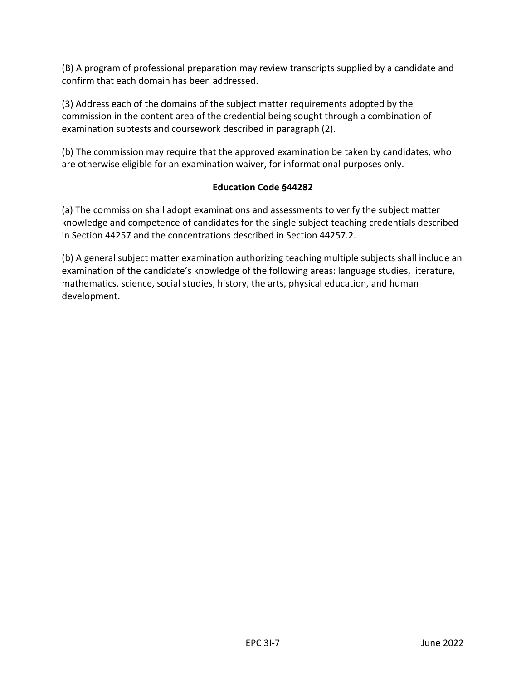(B) A program of professional preparation may review transcripts supplied by a candidate and confirm that each domain has been addressed.

(3) Address each of the domains of the subject matter requirements adopted by the commission in the content area of the credential being sought through a combination of examination subtests and coursework described in paragraph (2).

(b) The commission may require that the approved examination be taken by candidates, who are otherwise eligible for an examination waiver, for informational purposes only.

## **Education Code §44282**

(a) The commission shall adopt examinations and assessments to verify the subject matter knowledge and competence of candidates for the single subject teaching credentials described in Section 44257 and the concentrations described in Section 44257.2.

(b) A general subject matter examination authorizing teaching multiple subjects shall include an examination of the candidate's knowledge of the following areas: language studies, literature, mathematics, science, social studies, history, the arts, physical education, and human development.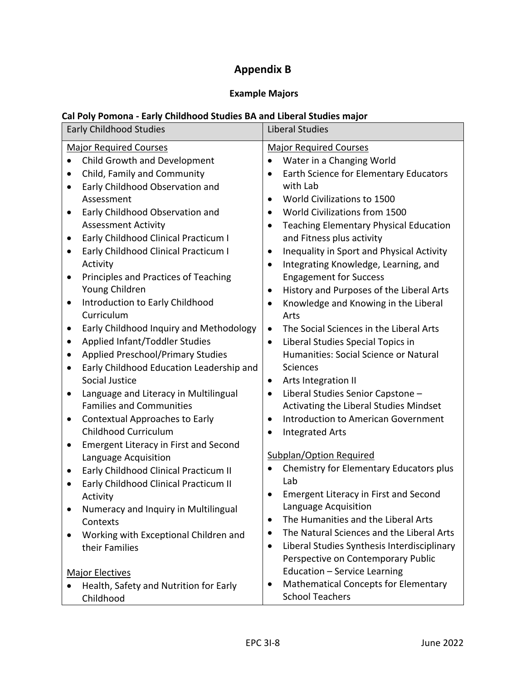# **Appendix B**

# **Example Majors**

# <span id="page-8-0"></span>**Cal Poly Pomona - Early Childhood Studies BA and Liberal Studies major**

| <b>Early Childhood Studies</b>                      | <b>Liberal Studies</b>                                                             |  |  |
|-----------------------------------------------------|------------------------------------------------------------------------------------|--|--|
| <b>Major Required Courses</b>                       | <b>Major Required Courses</b>                                                      |  |  |
| Child Growth and Development                        | Water in a Changing World                                                          |  |  |
| $\bullet$                                           | $\bullet$                                                                          |  |  |
| Child, Family and Community                         | Earth Science for Elementary Educators                                             |  |  |
| $\bullet$                                           | $\bullet$                                                                          |  |  |
| Early Childhood Observation and                     | with Lab                                                                           |  |  |
| $\bullet$                                           | World Civilizations to 1500                                                        |  |  |
| Assessment                                          | $\bullet$                                                                          |  |  |
| Early Childhood Observation and                     | World Civilizations from 1500                                                      |  |  |
| $\bullet$                                           | $\bullet$                                                                          |  |  |
| <b>Assessment Activity</b>                          | <b>Teaching Elementary Physical Education</b>                                      |  |  |
| Early Childhood Clinical Practicum I                | $\bullet$                                                                          |  |  |
| $\bullet$                                           | and Fitness plus activity                                                          |  |  |
| Early Childhood Clinical Practicum I                | Inequality in Sport and Physical Activity                                          |  |  |
| $\bullet$                                           | $\bullet$                                                                          |  |  |
| Activity                                            | Integrating Knowledge, Learning, and                                               |  |  |
| Principles and Practices of Teaching                | $\bullet$                                                                          |  |  |
| $\bullet$                                           | <b>Engagement for Success</b>                                                      |  |  |
| Young Children                                      | History and Purposes of the Liberal Arts                                           |  |  |
| Introduction to Early Childhood                     | $\bullet$                                                                          |  |  |
| $\bullet$                                           | Knowledge and Knowing in the Liberal                                               |  |  |
| Curriculum                                          | $\bullet$                                                                          |  |  |
| Early Childhood Inquiry and Methodology             | Arts                                                                               |  |  |
| $\bullet$                                           | The Social Sciences in the Liberal Arts                                            |  |  |
| Applied Infant/Toddler Studies                      | $\bullet$                                                                          |  |  |
| $\bullet$                                           | Liberal Studies Special Topics in                                                  |  |  |
| <b>Applied Preschool/Primary Studies</b>            | $\bullet$                                                                          |  |  |
| $\bullet$                                           | Humanities: Social Science or Natural                                              |  |  |
| Early Childhood Education Leadership and            | Sciences                                                                           |  |  |
| $\bullet$                                           | Arts Integration II                                                                |  |  |
| Social Justice                                      | $\bullet$                                                                          |  |  |
| Language and Literacy in Multilingual               | Liberal Studies Senior Capstone -                                                  |  |  |
| $\bullet$                                           | $\bullet$                                                                          |  |  |
| <b>Families and Communities</b>                     | Activating the Liberal Studies Mindset                                             |  |  |
| <b>Contextual Approaches to Early</b>               | Introduction to American Government                                                |  |  |
| $\bullet$                                           | $\bullet$                                                                          |  |  |
| Childhood Curriculum                                | <b>Integrated Arts</b>                                                             |  |  |
| <b>Emergent Literacy in First and Second</b>        | $\bullet$                                                                          |  |  |
| $\bullet$                                           | <b>Subplan/Option Required</b>                                                     |  |  |
| Language Acquisition                                | Chemistry for Elementary Educators plus                                            |  |  |
| Early Childhood Clinical Practicum II               | Lab                                                                                |  |  |
| $\bullet$                                           | <b>Emergent Literacy in First and Second</b>                                       |  |  |
| Early Childhood Clinical Practicum II               | Language Acquisition                                                               |  |  |
| $\bullet$                                           | The Humanities and the Liberal Arts                                                |  |  |
| Activity                                            | $\bullet$                                                                          |  |  |
| Numeracy and Inquiry in Multilingual                | The Natural Sciences and the Liberal Arts                                          |  |  |
| Contexts                                            | $\bullet$                                                                          |  |  |
| Working with Exceptional Children and               | Liberal Studies Synthesis Interdisciplinary                                        |  |  |
| $\bullet$                                           | $\bullet$                                                                          |  |  |
| their Families                                      | Perspective on Contemporary Public                                                 |  |  |
| <b>Major Electives</b>                              | Education - Service Learning                                                       |  |  |
| Health, Safety and Nutrition for Early<br>Childhood | <b>Mathematical Concepts for Elementary</b><br>$\bullet$<br><b>School Teachers</b> |  |  |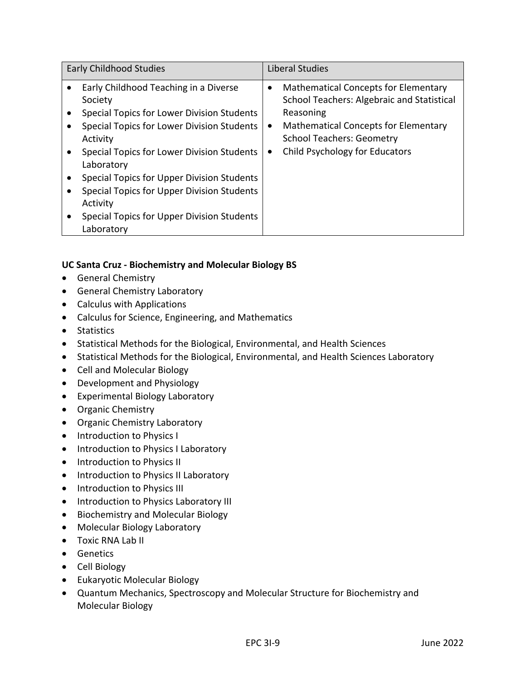| <b>Early Childhood Studies</b>                                                                                                                           |                | <b>Liberal Studies</b>                                                                                                                                                                    |
|----------------------------------------------------------------------------------------------------------------------------------------------------------|----------------|-------------------------------------------------------------------------------------------------------------------------------------------------------------------------------------------|
| Early Childhood Teaching in a Diverse<br>Society<br>Special Topics for Lower Division Students<br>Special Topics for Lower Division Students<br>Activity | ٠<br>$\bullet$ | <b>Mathematical Concepts for Elementary</b><br>School Teachers: Algebraic and Statistical<br>Reasoning<br><b>Mathematical Concepts for Elementary</b><br><b>School Teachers: Geometry</b> |
| Special Topics for Lower Division Students<br>Laboratory                                                                                                 | ٠              | Child Psychology for Educators                                                                                                                                                            |
| Special Topics for Upper Division Students                                                                                                               |                |                                                                                                                                                                                           |
| Special Topics for Upper Division Students<br>Activity                                                                                                   |                |                                                                                                                                                                                           |
| Special Topics for Upper Division Students<br>Laboratory                                                                                                 |                |                                                                                                                                                                                           |

# **UC Santa Cruz - Biochemistry and Molecular Biology BS**

- General Chemistry
- General Chemistry Laboratory
- Calculus with Applications
- Calculus for Science, Engineering, and Mathematics
- Statistics
- Statistical Methods for the Biological, Environmental, and Health Sciences
- Statistical Methods for the Biological, Environmental, and Health Sciences Laboratory
- Cell and Molecular Biology
- Development and Physiology
- Experimental Biology Laboratory
- Organic Chemistry
- Organic Chemistry Laboratory
- Introduction to Physics I
- Introduction to Physics I Laboratory
- Introduction to Physics II
- Introduction to Physics II Laboratory
- Introduction to Physics III
- Introduction to Physics Laboratory III
- Biochemistry and Molecular Biology
- Molecular Biology Laboratory
- Toxic RNA Lab II
- Genetics
- Cell Biology
- Eukaryotic Molecular Biology
- Quantum Mechanics, Spectroscopy and Molecular Structure for Biochemistry and Molecular Biology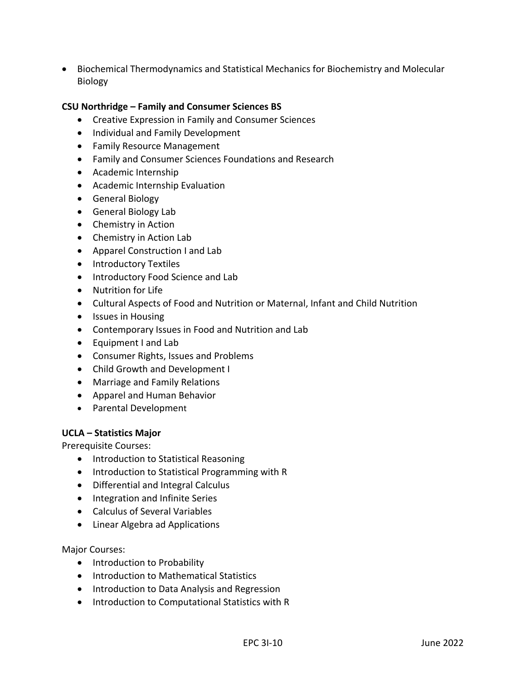• Biochemical Thermodynamics and Statistical Mechanics for Biochemistry and Molecular Biology

#### **CSU Northridge – Family and Consumer Sciences BS**

- Creative Expression in Family and Consumer Sciences
- Individual and Family Development
- Family Resource Management
- Family and Consumer Sciences Foundations and Research
- Academic Internship
- Academic Internship Evaluation
- General Biology
- General Biology Lab
- Chemistry in Action
- Chemistry in Action Lab
- Apparel Construction I and Lab
- Introductory Textiles
- Introductory Food Science and Lab
- Nutrition for Life
- Cultural Aspects of Food and Nutrition or Maternal, Infant and Child Nutrition
- Issues in Housing
- Contemporary Issues in Food and Nutrition and Lab
- Equipment I and Lab
- Consumer Rights, Issues and Problems
- Child Growth and Development I
- Marriage and Family Relations
- Apparel and Human Behavior
- Parental Development

#### **UCLA – Statistics Major**

Prerequisite Courses:

- Introduction to Statistical Reasoning
- Introduction to Statistical Programming with R
- Differential and Integral Calculus
- Integration and Infinite Series
- Calculus of Several Variables
- Linear Algebra ad Applications

#### Major Courses:

- Introduction to Probability
- Introduction to Mathematical Statistics
- Introduction to Data Analysis and Regression
- Introduction to Computational Statistics with R